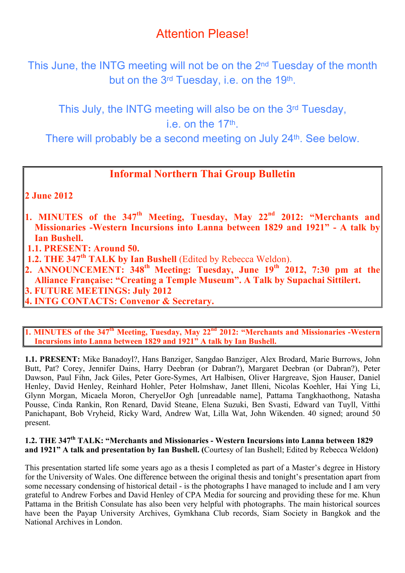# Attention
Please!

This June, the INTG meeting will not be on the 2<sup>nd</sup> Tuesday of the month but on the 3<sup>rd</sup> Tuesday, i.e. on the 19<sup>th</sup>.

This July, the INTG meeting will also be on the 3rd Tuesday, i.e. on the 17th.

There
will
probably
be
a
second
meeting
on
July
24th.
See
below.

# **Informal Northern Thai Group Bulletin**

**2 June 2012**

- **1. MINUTES of the 347th Meeting, Tuesday, May 22nd 2012: "Merchants and Missionaries -Western Incursions into Lanna between 1829 and 1921" - A talk by Ian Bushell.**
- **1.1. PRESENT: Around 50.**
- **1.2. THE 347th TALK by Ian Bushell** (Edited by Rebecca Weldon).
- **2. ANNOUNCEMENT: 348th Meeting: Tuesday, June 19th 2012, 7:30 pm at the Alliance Française: "Creating a Temple Museum". A Talk by Supachai Sittilert. 3. FUTURE MEETINGS: July 2012**
- **4. INTG CONTACTS: Convenor & Secretary.**

**1. MINUTES of the 347<sup>th</sup> Meeting, Tuesday, May 22<sup>nd</sup> 2012: "Merchants and Missionaries -Western Incursions into Lanna between 1829 and 1921" A talk by Ian Bushell.**

**1.1. PRESENT:** Mike Banadoyl?, Hans Banziger, Sangdao Banziger, Alex Brodard, Marie Burrows, John Butt, Pat? Corey, Jennifer Dains, Harry Deebran (or Dabran?), Margaret Deebran (or Dabran?), Peter Dawson, Paul Fihn, Jack Giles, Peter Gore-Symes, Art Halbisen, Oliver Hargreave, Sjon Hauser, Daniel Henley, David Henley, Reinhard Hohler, Peter Holmshaw, Janet Illeni, Nicolas Koehler, Hai Ying Li, Glynn Morgan, Micaela Moron, CheryelJor Ogh [unreadable name], Pattama Tangkhaothong, Natasha Pousse, Cinda Rankin, Ron Renard, David Steane, Elena Suzuki, Ben Svasti, Edward van Tuyll, Vitthi Panichapant, Bob Vryheid, Ricky Ward, Andrew Wat, Lilla Wat, John Wikenden. 40 signed; around 50 present.

# **1.2. THE 347th TALK: "Merchants and Missionaries - Western Incursions into Lanna between 1829 and 1921" A talk and presentation by Ian Bushell. (**Courtesy of Ian Bushell; Edited by Rebecca Weldon**)**

This presentation started life some years ago as a thesis I completed as part of a Master's degree in History for the University of Wales. One difference between the original thesis and tonight's presentation apart from some necessary condensing of historical detail - is the photographs I have managed to include and I am very grateful to Andrew Forbes and David Henley of CPA Media for sourcing and providing these for me. Khun Pattama in the British Consulate has also been very helpful with photographs. The main historical sources have been the Payap University Archives, Gymkhana Club records, Siam Society in Bangkok and the National Archives in London.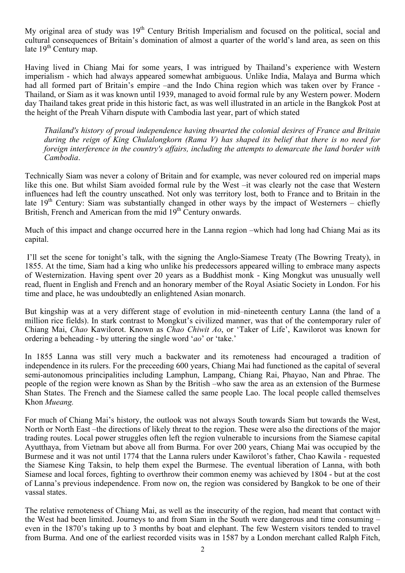My original area of study was  $19<sup>th</sup>$  Century British Imperialism and focused on the political, social and cultural consequences of Britain's domination of almost a quarter of the world's land area, as seen on this late  $19<sup>th</sup>$  Century map.

Having lived in Chiang Mai for some years, I was intrigued by Thailand's experience with Western imperialism - which had always appeared somewhat ambiguous. Unlike India, Malaya and Burma which had all formed part of Britain's empire –and the Indo China region which was taken over by France -Thailand, or Siam as it was known until 1939, managed to avoid formal rule by any Western power. Modern day Thailand takes great pride in this historic fact, as was well illustrated in an article in the Bangkok Post at the height of the Preah Viharn dispute with Cambodia last year, part of which stated

*Thailand's history of proud independence having thwarted the colonial desires of France and Britain during the reign of King Chulalongkorn (Rama V) has shaped its belief that there is no need for foreign interference in the country's affairs, including the attempts to demarcate the land border with Cambodia*.

Technically Siam was never a colony of Britain and for example, was never coloured red on imperial maps like this one. But whilst Siam avoided formal rule by the West –it was clearly not the case that Western influences had left the country unscathed. Not only was territory lost, both to France and to Britain in the late  $19<sup>th</sup>$  Century: Siam was substantially changed in other ways by the impact of Westerners – chiefly British, French and American from the mid 19<sup>th</sup> Century onwards.

Much of this impact and change occurred here in the Lanna region –which had long had Chiang Mai as its capital.

 I'll set the scene for tonight's talk, with the signing the Anglo-Siamese Treaty (The Bowring Treaty), in 1855. At the time, Siam had a king who unlike his predecessors appeared willing to embrace many aspects of Westernization. Having spent over 20 years as a Buddhist monk - King Mongkut was unusually well read, fluent in English and French and an honorary member of the Royal Asiatic Society in London. For his time and place, he was undoubtedly an enlightened Asian monarch.

But kingship was at a very different stage of evolution in mid–nineteenth century Lanna (the land of a million rice fields). In stark contrast to Mongkut's civilized manner, was that of the contemporary ruler of Chiang Mai, *Chao* Kawilorot. Known as *Chao Chiwit Ao*, or 'Taker of Life', Kawilorot was known for ordering a beheading - by uttering the single word '*ao*' or 'take.'

In 1855 Lanna was still very much a backwater and its remoteness had encouraged a tradition of independence in its rulers. For the preceeding 600 years, Chiang Mai had functioned as the capital of several semi-autonomous principalities including Lamphun, Lampang, Chiang Rai, Phayao, Nan and Phrae. The people of the region were known as Shan by the British –who saw the area as an extension of the Burmese Shan States. The French and the Siamese called the same people Lao. The local people called themselves Khon *Mueang.* 

For much of Chiang Mai's history, the outlook was not always South towards Siam but towards the West, North or North East –the directions of likely threat to the region. These were also the directions of the major trading routes. Local power struggles often left the region vulnerable to incursions from the Siamese capital Ayutthaya, from Vietnam but above all from Burma. For over 200 years, Chiang Mai was occupied by the Burmese and it was not until 1774 that the Lanna rulers under Kawilorot's father, Chao Kawila - requested the Siamese King Taksin, to help them expel the Burmese. The eventual liberation of Lanna, with both Siamese and local forces, fighting to overthrow their common enemy was achieved by 1804 - but at the cost of Lanna's previous independence. From now on, the region was considered by Bangkok to be one of their vassal states.

The relative remoteness of Chiang Mai, as well as the insecurity of the region, had meant that contact with the West had been limited. Journeys to and from Siam in the South were dangerous and time consuming – even in the 1870's taking up to 3 months by boat and elephant. The few Western visitors tended to travel from Burma. And one of the earliest recorded visits was in 1587 by a London merchant called Ralph Fitch,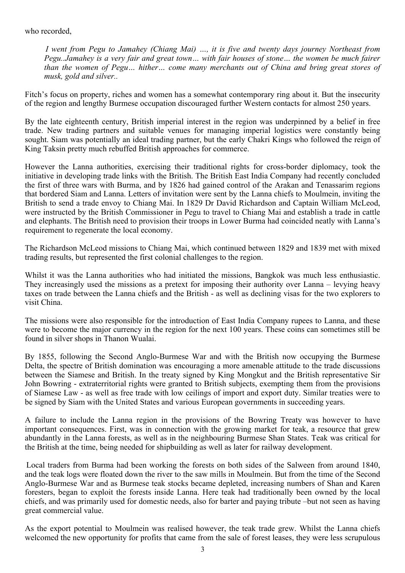#### who recorded,

*I went from Pegu to Jamahey (Chiang Mai) …, it is five and twenty days journey Northeast from Pegu..Jamahey is a very fair and great town… with fair houses of stone… the women be much fairer than the women of Pegu… hither… come many merchants out of China and bring great stores of musk, gold and silver..*

Fitch's focus on property, riches and women has a somewhat contemporary ring about it. But the insecurity of the region and lengthy Burmese occupation discouraged further Western contacts for almost 250 years.

By the late eighteenth century, British imperial interest in the region was underpinned by a belief in free trade. New trading partners and suitable venues for managing imperial logistics were constantly being sought. Siam was potentially an ideal trading partner, but the early Chakri Kings who followed the reign of King Taksin pretty much rebuffed British approaches for commerce.

However the Lanna authorities, exercising their traditional rights for cross-border diplomacy, took the initiative in developing trade links with the British. The British East India Company had recently concluded the first of three wars with Burma, and by 1826 had gained control of the Arakan and Tenassarim regions that bordered Siam and Lanna. Letters of invitation were sent by the Lanna chiefs to Moulmein, inviting the British to send a trade envoy to Chiang Mai. In 1829 Dr David Richardson and Captain William McLeod, were instructed by the British Commissioner in Pegu to travel to Chiang Mai and establish a trade in cattle and elephants. The British need to provision their troops in Lower Burma had coincided neatly with Lanna's requirement to regenerate the local economy.

The Richardson McLeod missions to Chiang Mai, which continued between 1829 and 1839 met with mixed trading results, but represented the first colonial challenges to the region.

Whilst it was the Lanna authorities who had initiated the missions, Bangkok was much less enthusiastic. They increasingly used the missions as a pretext for imposing their authority over Lanna – levying heavy taxes on trade between the Lanna chiefs and the British - as well as declining visas for the two explorers to visit China.

The missions were also responsible for the introduction of East India Company rupees to Lanna, and these were to become the major currency in the region for the next 100 years. These coins can sometimes still be found in silver shops in Thanon Wualai.

By 1855, following the Second Anglo-Burmese War and with the British now occupying the Burmese Delta, the spectre of British domination was encouraging a more amenable attitude to the trade discussions between the Siamese and British. In the treaty signed by King Mongkut and the British representative Sir John Bowring - extraterritorial rights were granted to British subjects, exempting them from the provisions of Siamese Law - as well as free trade with low ceilings of import and export duty. Similar treaties were to be signed by Siam with the United States and various European governments in succeeding years.

A failure to include the Lanna region in the provisions of the Bowring Treaty was however to have important consequences. First, was in connection with the growing market for teak, a resource that grew abundantly in the Lanna forests, as well as in the neighbouring Burmese Shan States. Teak was critical for the British at the time, being needed for shipbuilding as well as later for railway development.

Local traders from Burma had been working the forests on both sides of the Salween from around 1840, and the teak logs were floated down the river to the saw mills in Moulmein. But from the time of the Second Anglo-Burmese War and as Burmese teak stocks became depleted, increasing numbers of Shan and Karen foresters, began to exploit the forests inside Lanna. Here teak had traditionally been owned by the local chiefs, and was primarily used for domestic needs, also for barter and paying tribute –but not seen as having great commercial value.

As the export potential to Moulmein was realised however, the teak trade grew. Whilst the Lanna chiefs welcomed the new opportunity for profits that came from the sale of forest leases, they were less scrupulous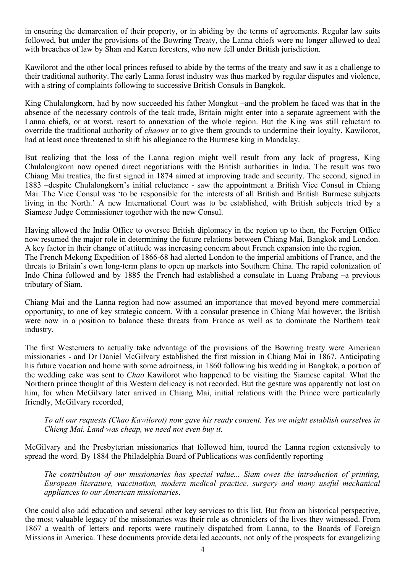in ensuring the demarcation of their property, or in abiding by the terms of agreements. Regular law suits followed, but under the provisions of the Bowring Treaty, the Lanna chiefs were no longer allowed to deal with breaches of law by Shan and Karen foresters, who now fell under British jurisdiction.

Kawilorot and the other local princes refused to abide by the terms of the treaty and saw it as a challenge to their traditional authority. The early Lanna forest industry was thus marked by regular disputes and violence, with a string of complaints following to successive British Consuls in Bangkok.

King Chulalongkorn, had by now succeeded his father Mongkut –and the problem he faced was that in the absence of the necessary controls of the teak trade, Britain might enter into a separate agreement with the Lanna chiefs, or at worst, resort to annexation of the whole region. But the King was still reluctant to override the traditional authority of *chaows* or to give them grounds to undermine their loyalty. Kawilorot, had at least once threatened to shift his allegiance to the Burmese king in Mandalay.

But realizing that the loss of the Lanna region might well result from any lack of progress, King Chulalongkorn now opened direct negotiations with the British authorities in India. The result was two Chiang Mai treaties, the first signed in 1874 aimed at improving trade and security. The second, signed in 1883 –despite Chulalongkorn's initial reluctance - saw the appointment a British Vice Consul in Chiang Mai. The Vice Consul was 'to be responsible for the interests of all British and British Burmese subjects living in the North.' A new International Court was to be established, with British subjects tried by a Siamese Judge Commissioner together with the new Consul.

Having allowed the India Office to oversee British diplomacy in the region up to then, the Foreign Office now resumed the major role in determining the future relations between Chiang Mai, Bangkok and London. A key factor in their change of attitude was increasing concern about French expansion into the region. The French Mekong Expedition of 1866-68 had alerted London to the imperial ambitions of France, and the threats to Britain's own long-term plans to open up markets into Southern China. The rapid colonization of Indo China followed and by 1885 the French had established a consulate in Luang Prabang –a previous tributary of Siam.

Chiang Mai and the Lanna region had now assumed an importance that moved beyond mere commercial opportunity, to one of key strategic concern. With a consular presence in Chiang Mai however, the British were now in a position to balance these threats from France as well as to dominate the Northern teak industry.

The first Westerners to actually take advantage of the provisions of the Bowring treaty were American missionaries - and Dr Daniel McGilvary established the first mission in Chiang Mai in 1867. Anticipating his future vocation and home with some adroitness, in 1860 following his wedding in Bangkok, a portion of the wedding cake was sent to *Chao* Kawilorot who happened to be visiting the Siamese capital. What the Northern prince thought of this Western delicacy is not recorded. But the gesture was apparently not lost on him, for when McGilvary later arrived in Chiang Mai, initial relations with the Prince were particularly friendly, McGilvary recorded,

*To all our requests (Chao Kawilorot) now gave his ready consent. Yes we might establish ourselves in Chieng Mai. Land was cheap, we need not even buy it*.

McGilvary and the Presbyterian missionaries that followed him, toured the Lanna region extensively to spread the word. By 1884 the Philadelphia Board of Publications was confidently reporting

*The contribution of our missionaries has special value... Siam owes the introduction of printing, European literature, vaccination, modern medical practice, surgery and many useful mechanical appliances to our American missionaries*.

One could also add education and several other key services to this list. But from an historical perspective, the most valuable legacy of the missionaries was their role as chroniclers of the lives they witnessed. From 1867 a wealth of letters and reports were routinely dispatched from Lanna, to the Boards of Foreign Missions in America. These documents provide detailed accounts, not only of the prospects for evangelizing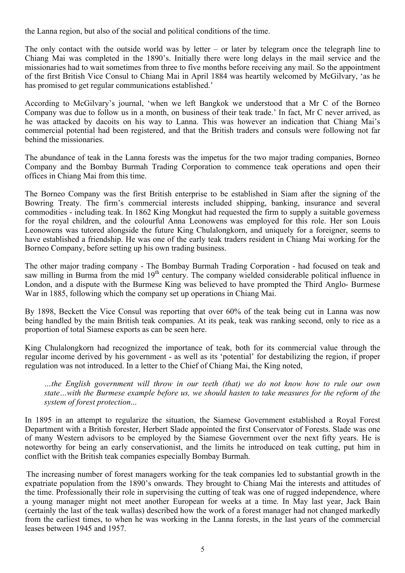the Lanna region, but also of the social and political conditions of the time.

The only contact with the outside world was by letter – or later by telegram once the telegraph line to Chiang Mai was completed in the 1890's. Initially there were long delays in the mail service and the missionaries had to wait sometimes from three to five months before receiving any mail. So the appointment of the first British Vice Consul to Chiang Mai in April 1884 was heartily welcomed by McGilvary, 'as he has promised to get regular communications established.'

According to McGilvary's journal, 'when we left Bangkok we understood that a Mr C of the Borneo Company was due to follow us in a month, on business of their teak trade.' In fact, Mr C never arrived, as he was attacked by dacoits on his way to Lanna. This was however an indication that Chiang Mai's commercial potential had been registered, and that the British traders and consuls were following not far behind the missionaries.

The abundance of teak in the Lanna forests was the impetus for the two major trading companies, Borneo Company and the Bombay Burmah Trading Corporation to commence teak operations and open their offices in Chiang Mai from this time.

The Borneo Company was the first British enterprise to be established in Siam after the signing of the Bowring Treaty. The firm's commercial interests included shipping, banking, insurance and several commodities - including teak. In 1862 King Mongkut had requested the firm to supply a suitable governess for the royal children, and the colourful Anna Leonowens was employed for this role. Her son Louis Leonowens was tutored alongside the future King Chulalongkorn, and uniquely for a foreigner, seems to have established a friendship. He was one of the early teak traders resident in Chiang Mai working for the Borneo Company, before setting up his own trading business.

The other major trading company - The Bombay Burmah Trading Corporation - had focused on teak and saw milling in Burma from the mid  $19<sup>th</sup>$  century. The company wielded considerable political influence in London, and a dispute with the Burmese King was believed to have prompted the Third Anglo- Burmese War in 1885, following which the company set up operations in Chiang Mai.

By 1898, Beckett the Vice Consul was reporting that over 60% of the teak being cut in Lanna was now being handled by the main British teak companies. At its peak, teak was ranking second, only to rice as a proportion of total Siamese exports as can be seen here.

King Chulalongkorn had recognized the importance of teak, both for its commercial value through the regular income derived by his government - as well as its 'potential' for destabilizing the region, if proper regulation was not introduced. In a letter to the Chief of Chiang Mai, the King noted,

*…the English government will throw in our teeth (that) we do not know how to rule our own state…with the Burmese example before us, we should hasten to take measures for the reform of the system of forest protection*...

In 1895 in an attempt to regularize the situation, the Siamese Government established a Royal Forest Department with a British forester, Herbert Slade appointed the first Conservator of Forests. Slade was one of many Western advisors to be employed by the Siamese Government over the next fifty years. He is noteworthy for being an early conservationist, and the limits he introduced on teak cutting, put him in conflict with the British teak companies especially Bombay Burmah.

The increasing number of forest managers working for the teak companies led to substantial growth in the expatriate population from the 1890's onwards. They brought to Chiang Mai the interests and attitudes of the time. Professionally their role in supervising the cutting of teak was one of rugged independence, where a young manager might not meet another European for weeks at a time. In May last year, Jack Bain (certainly the last of the teak wallas) described how the work of a forest manager had not changed markedly from the earliest times, to when he was working in the Lanna forests, in the last years of the commercial leases between 1945 and 1957.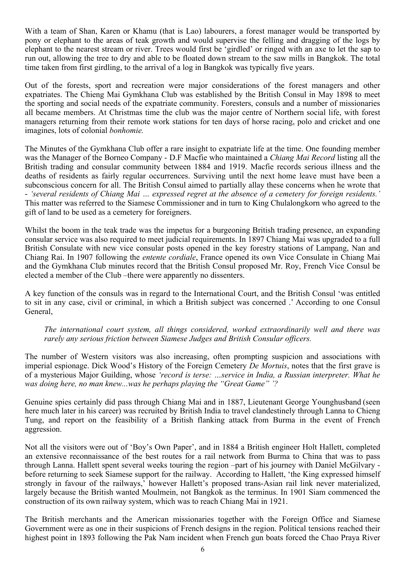With a team of Shan, Karen or Khamu (that is Lao) labourers, a forest manager would be transported by pony or elephant to the areas of teak growth and would supervise the felling and dragging of the logs by elephant to the nearest stream or river. Trees would first be 'girdled' or ringed with an axe to let the sap to run out, allowing the tree to dry and able to be floated down stream to the saw mills in Bangkok. The total time taken from first girdling, to the arrival of a log in Bangkok was typically five years.

Out of the forests, sport and recreation were major considerations of the forest managers and other expatriates. The Chieng Mai Gymkhana Club was established by the British Consul in May 1898 to meet the sporting and social needs of the expatriate community. Foresters, consuls and a number of missionaries all became members. At Christmas time the club was the major centre of Northern social life, with forest managers returning from their remote work stations for ten days of horse racing, polo and cricket and one imagines, lots of colonial *bonhomie.* 

The Minutes of the Gymkhana Club offer a rare insight to expatriate life at the time. One founding member was the Manager of the Borneo Company - D.F Macfie who maintained a *Chiang Mai Record* listing all the British trading and consular community between 1884 and 1919. Macfie records serious illness and the deaths of residents as fairly regular occurrences. Surviving until the next home leave must have been a subconscious concern for all. The British Consul aimed to partially allay these concerns when he wrote that - *'several residents of Chiang Mai … expressed regret at the absence of a cemetery for foreign residents.'* This matter was referred to the Siamese Commissioner and in turn to King Chulalongkorn who agreed to the gift of land to be used as a cemetery for foreigners.

Whilst the boom in the teak trade was the impetus for a burgeoning British trading presence, an expanding consular service was also required to meet judicial requirements. In 1897 Chiang Mai was upgraded to a full British Consulate with new vice consular posts opened in the key forestry stations of Lampang, Nan and Chiang Rai. In 1907 following the *entente cordiale*, France opened its own Vice Consulate in Chiang Mai and the Gymkhana Club minutes record that the British Consul proposed Mr. Roy, French Vice Consul be elected a member of the Club –there were apparently no dissenters.

A key function of the consuls was in regard to the International Court, and the British Consul 'was entitled to sit in any case, civil or criminal, in which a British subject was concerned .' According to one Consul General,

*The international court system, all things considered, worked extraordinarily well and there was rarely any serious friction between Siamese Judges and British Consular officers.*

The number of Western visitors was also increasing, often prompting suspicion and associations with imperial espionage. Dick Wood's History of the Foreign Cemetery *De Mortuis*, notes that the first grave is of a mysterious Major Guilding, whose *'record is terse: …service in India, a Russian interpreter. What he was doing here, no man knew...was he perhaps playing the "Great Game" '?*

Genuine spies certainly did pass through Chiang Mai and in 1887, Lieutenant George Younghusband (seen here much later in his career) was recruited by British India to travel clandestinely through Lanna to Chieng Tung, and report on the feasibility of a British flanking attack from Burma in the event of French aggression.

Not all the visitors were out of 'Boy's Own Paper', and in 1884 a British engineer Holt Hallett, completed an extensive reconnaissance of the best routes for a rail network from Burma to China that was to pass through Lanna. Hallett spent several weeks touring the region –part of his journey with Daniel McGilvary before returning to seek Siamese support for the railway. According to Hallett, 'the King expressed himself strongly in favour of the railways,' however Hallett's proposed trans-Asian rail link never materialized, largely because the British wanted Moulmein, not Bangkok as the terminus. In 1901 Siam commenced the construction of its own railway system, which was to reach Chiang Mai in 1921.

The British merchants and the American missionaries together with the Foreign Office and Siamese Government were as one in their suspicions of French designs in the region. Political tensions reached their highest point in 1893 following the Pak Nam incident when French gun boats forced the Chao Praya River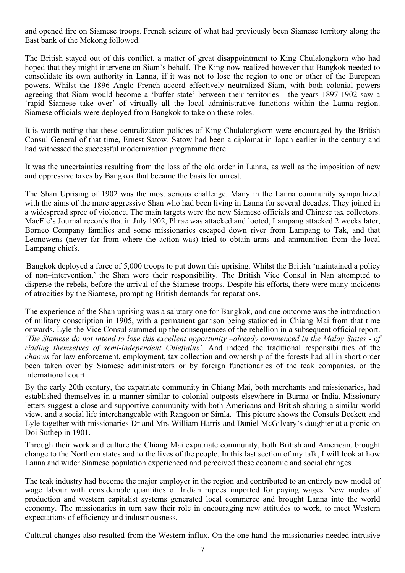and opened fire on Siamese troops. French seizure of what had previously been Siamese territory along the East bank of the Mekong followed.

The British stayed out of this conflict, a matter of great disappointment to King Chulalongkorn who had hoped that they might intervene on Siam's behalf. The King now realized however that Bangkok needed to consolidate its own authority in Lanna, if it was not to lose the region to one or other of the European powers. Whilst the 1896 Anglo French accord effectively neutralized Siam, with both colonial powers agreeing that Siam would become a 'buffer state' between their territories - the years 1897-1902 saw a 'rapid Siamese take over' of virtually all the local administrative functions within the Lanna region. Siamese officials were deployed from Bangkok to take on these roles.

It is worth noting that these centralization policies of King Chulalongkorn were encouraged by the British Consul General of that time, Ernest Satow. Satow had been a diplomat in Japan earlier in the century and had witnessed the successful modernization programme there.

It was the uncertainties resulting from the loss of the old order in Lanna, as well as the imposition of new and oppressive taxes by Bangkok that became the basis for unrest.

The Shan Uprising of 1902 was the most serious challenge. Many in the Lanna community sympathized with the aims of the more aggressive Shan who had been living in Lanna for several decades. They joined in a widespread spree of violence. The main targets were the new Siamese officials and Chinese tax collectors. MacFie's Journal records that in July 1902, Phrae was attacked and looted, Lampang attacked 2 weeks later, Borneo Company families and some missionaries escaped down river from Lampang to Tak, and that Leonowens (never far from where the action was) tried to obtain arms and ammunition from the local Lampang chiefs.

Bangkok deployed a force of 5,000 troops to put down this uprising. Whilst the British 'maintained a policy of non–intervention,' the Shan were their responsibility. The British Vice Consul in Nan attempted to disperse the rebels, before the arrival of the Siamese troops. Despite his efforts, there were many incidents of atrocities by the Siamese, prompting British demands for reparations.

The experience of the Shan uprising was a salutary one for Bangkok, and one outcome was the introduction of military conscription in 1905, with a permanent garrison being stationed in Chiang Mai from that time onwards. Lyle the Vice Consul summed up the consequences of the rebellion in a subsequent official report. *'The Siamese do not intend to lose this excellent opportunity –already commenced in the Malay States - of ridding themselves of semi-independent Chieftains'*. And indeed the traditional responsibilities of the *chaows* for law enforcement, employment, tax collection and ownership of the forests had all in short order been taken over by Siamese administrators or by foreign functionaries of the teak companies, or the international court.

By the early 20th century, the expatriate community in Chiang Mai, both merchants and missionaries, had established themselves in a manner similar to colonial outposts elsewhere in Burma or India. Missionary letters suggest a close and supportive community with both Americans and British sharing a similar world view, and a social life interchangeable with Rangoon or Simla. This picture shows the Consuls Beckett and Lyle together with missionaries Dr and Mrs William Harris and Daniel McGilvary's daughter at a picnic on Doi Suthep in 1901.

Through their work and culture the Chiang Mai expatriate community, both British and American, brought change to the Northern states and to the lives of the people. In this last section of my talk, I will look at how Lanna and wider Siamese population experienced and perceived these economic and social changes.

The teak industry had become the major employer in the region and contributed to an entirely new model of wage labour with considerable quantities of Indian rupees imported for paying wages. New modes of production and western capitalist systems generated local commerce and brought Lanna into the world economy. The missionaries in turn saw their role in encouraging new attitudes to work, to meet Western expectations of efficiency and industriousness.

Cultural changes also resulted from the Western influx. On the one hand the missionaries needed intrusive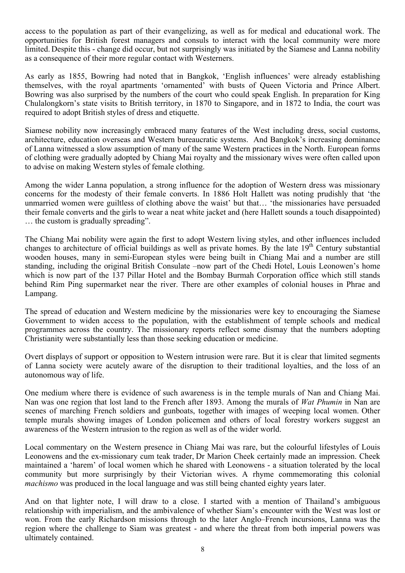access to the population as part of their evangelizing, as well as for medical and educational work. The opportunities for British forest managers and consuls to interact with the local community were more limited. Despite this - change did occur, but not surprisingly was initiated by the Siamese and Lanna nobility as a consequence of their more regular contact with Westerners.

As early as 1855, Bowring had noted that in Bangkok, 'English influences' were already establishing themselves, with the royal apartments 'ornamented' with busts of Queen Victoria and Prince Albert. Bowring was also surprised by the numbers of the court who could speak English. In preparation for King Chulalongkorn's state visits to British territory, in 1870 to Singapore, and in 1872 to India, the court was required to adopt British styles of dress and etiquette.

Siamese nobility now increasingly embraced many features of the West including dress, social customs, architecture, education overseas and Western bureaucratic systems. And Bangkok's increasing dominance of Lanna witnessed a slow assumption of many of the same Western practices in the North. European forms of clothing were gradually adopted by Chiang Mai royalty and the missionary wives were often called upon to advise on making Western styles of female clothing.

Among the wider Lanna population, a strong influence for the adoption of Western dress was missionary concerns for the modesty of their female converts. In 1886 Holt Hallett was noting prudishly that 'the unmarried women were guiltless of clothing above the waist' but that… 'the missionaries have persuaded their female converts and the girls to wear a neat white jacket and (here Hallett sounds a touch disappointed) … the custom is gradually spreading".

The Chiang Mai nobility were again the first to adopt Western living styles, and other influences included changes to architecture of official buildings as well as private homes. By the late 19<sup>th</sup> Century substantial wooden houses, many in semi-European styles were being built in Chiang Mai and a number are still standing, including the original British Consulate –now part of the Chedi Hotel, Louis Leonowen's home which is now part of the 137 Pillar Hotel and the Bombay Burmah Corporation office which still stands behind Rim Ping supermarket near the river. There are other examples of colonial houses in Phrae and Lampang.

The spread of education and Western medicine by the missionaries were key to encouraging the Siamese Government to widen access to the population, with the establishment of temple schools and medical programmes across the country. The missionary reports reflect some dismay that the numbers adopting Christianity were substantially less than those seeking education or medicine.

Overt displays of support or opposition to Western intrusion were rare. But it is clear that limited segments of Lanna society were acutely aware of the disruption to their traditional loyalties, and the loss of an autonomous way of life.

One medium where there is evidence of such awareness is in the temple murals of Nan and Chiang Mai. Nan was one region that lost land to the French after 1893. Among the murals of *Wat Phumin* in Nan are scenes of marching French soldiers and gunboats, together with images of weeping local women. Other temple murals showing images of London policemen and others of local forestry workers suggest an awareness of the Western intrusion to the region as well as of the wider world.

Local commentary on the Western presence in Chiang Mai was rare, but the colourful lifestyles of Louis Leonowens and the ex-missionary cum teak trader, Dr Marion Cheek certainly made an impression. Cheek maintained a 'harem' of local women which he shared with Leonowens - a situation tolerated by the local community but more surprisingly by their Victorian wives. A rhyme commemorating this colonial *machismo* was produced in the local language and was still being chanted eighty years later.

And on that lighter note, I will draw to a close. I started with a mention of Thailand's ambiguous relationship with imperialism, and the ambivalence of whether Siam's encounter with the West was lost or won. From the early Richardson missions through to the later Anglo–French incursions, Lanna was the region where the challenge to Siam was greatest - and where the threat from both imperial powers was ultimately contained.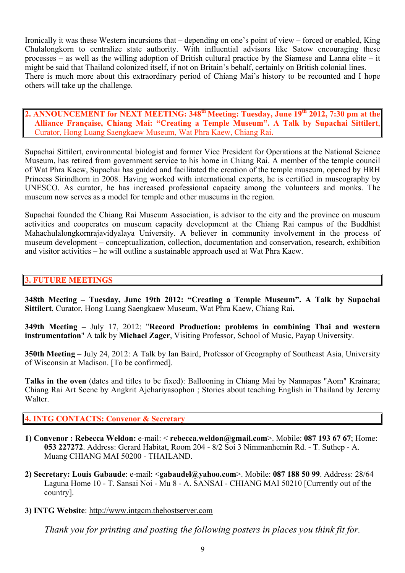Ironically it was these Western incursions that – depending on one's point of view – forced or enabled, King Chulalongkorn to centralize state authority. With influential advisors like Satow encouraging these processes – as well as the willing adoption of British cultural practice by the Siamese and Lanna elite – it might be said that Thailand colonized itself, if not on Britain's behalf, certainly on British colonial lines. There is much more about this extraordinary period of Chiang Mai's history to be recounted and I hope others will take up the challenge.

**2. ANNOUNCEMENT for NEXT MEETING: 348<sup>th</sup> Meeting: Tuesday, June 19<sup>th</sup> 2012, 7:30 pm at the Alliance Française, Chiang Mai: "Creating a Temple Museum". A Talk by Supachai Sittilert**, Curator, Hong Luang Saengkaew Museum, Wat Phra Kaew, Chiang Rai**.**

Supachai Sittilert, environmental biologist and former Vice President for Operations at the National Science Museum, has retired from government service to his home in Chiang Rai. A member of the temple council of Wat Phra Kaew, Supachai has guided and facilitated the creation of the temple museum, opened by HRH Princess Sirindhorn in 2008. Having worked with international experts, he is certified in museography by UNESCO. As curator, he has increased professional capacity among the volunteers and monks. The museum now serves as a model for temple and other museums in the region.

Supachai founded the Chiang Rai Museum Association, is advisor to the city and the province on museum activities and cooperates on museum capacity development at the Chiang Rai campus of the Buddhist Mahachulalongkornrajavidyalaya University. A believer in community involvement in the process of museum development – conceptualization, collection, documentation and conservation, research, exhibition and visitor activities – he will outline a sustainable approach used at Wat Phra Kaew.

# **3. FUTURE MEETINGS**

**348th Meeting – Tuesday, June 19th 2012: "Creating a Temple Museum". A Talk by Supachai Sittilert**, Curator, Hong Luang Saengkaew Museum, Wat Phra Kaew, Chiang Rai**.**

**349th Meeting –** July 17, 2012: "**Record Production: problems in combining Thai and western instrumentation**" A talk by **Michael Zager**, Visiting Professor, School of Music, Payap University.

**350th Meeting –** July 24, 2012: A Talk by Ian Baird, Professor of Geography of Southeast Asia, University of Wisconsin at Madison. [To be confirmed].

**Talks in the oven** (dates and titles to be fixed): Ballooning in Chiang Mai by Nannapas "Aom" Krainara; Chiang Rai Art Scene by Angkrit Ajchariyasophon ; Stories about teaching English in Thailand by Jeremy Walter<sub>.</sub>

# **4. INTG CONTACTS: Convenor & Secretary**

- **1) Convenor : Rebecca Weldon:** e-mail: < **rebecca.weldon@gmail.com**>. Mobile: **087 193 67 67**; Home: **053 227272**. Address: Gerard Habitat, Room 204 - 8/2 Soi 3 Nimmanhemin Rd. - T. Suthep - A. Muang CHIANG MAI 50200 - THAILAND.
- **2) Secretary: Louis Gabaude**: e-mail: <**gabaudel@yahoo.com**>. Mobile: **087 188 50 99**. Address: 28/64 Laguna Home 10 - T. Sansai Noi - Mu 8 - A. SANSAI - CHIANG MAI 50210 [Currently out of the country].
- **3) INTG Website**: http://www.intgcm.thehostserver.com

*Thank you for printing and posting the following posters in places you think fit for.*